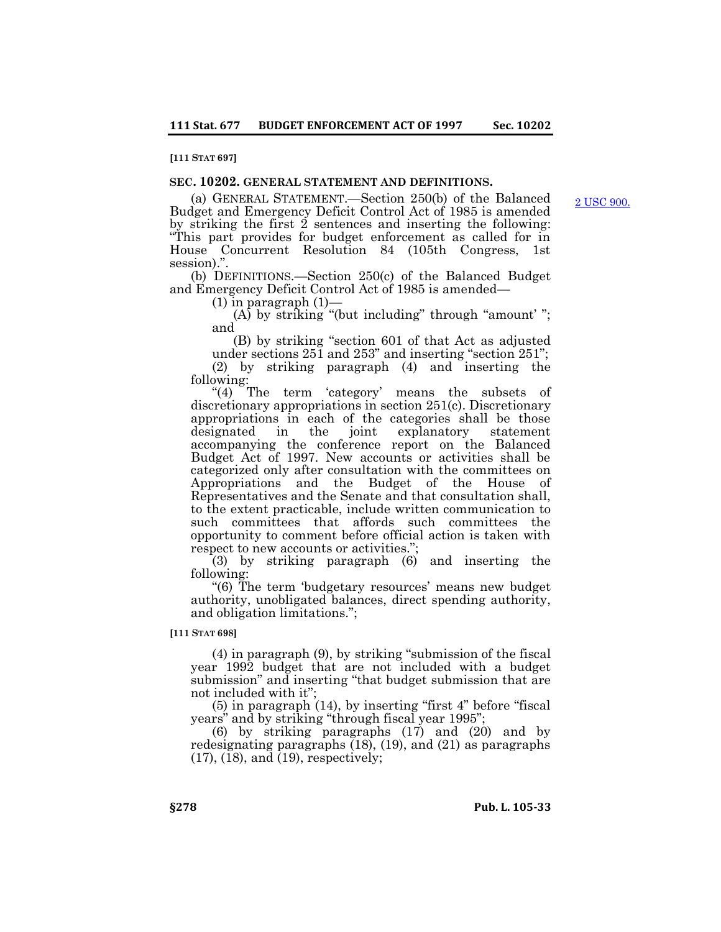## **[111 STAT 697]**

# **SEC. 10202. GENERAL STATEMENT AND DEFINITIONS.**

(a) GENERAL STATEMENT.—Section 250(b) of the Balanced Budget and Emergency Deficit Control Act of 1985 is amended by striking the first 2 sentences and inserting the following: "This part provides for budget enforcement as called for in House Concurrent Resolution 84 (105th Congress, 1st session).".

(b) DEFINITIONS.—Section 250(c) of the Balanced Budget and Emergency Deficit Control Act of 1985 is amended—

 $(1)$  in paragraph  $(1)$ —

 $(A)$  by striking "(but including" through "amount'"; and

(B) by striking "section 601 of that Act as adjusted under sections 251 and 253" and inserting "section 251"; (2) by striking paragraph (4) and inserting the following:

"(4) The term 'category' means the subsets of discretionary appropriations in section 251(c). Discretionary appropriations in each of the categories shall be those designated in the joint explanatory statement accompanying the conference report on the Balanced Budget Act of 1997. New accounts or activities shall be categorized only after consultation with the committees on Appropriations and the Budget of the House of Representatives and the Senate and that consultation shall, to the extent practicable, include written communication to such committees that affords such committees the opportunity to comment before official action is taken with respect to new accounts or activities.";

(3) by striking paragraph (6) and inserting the following:

"(6) The term 'budgetary resources' means new budget authority, unobligated balances, direct spending authority, and obligation limitations.";

**[111 STAT 698]**

(4) in paragraph (9), by striking "submission of the fiscal year 1992 budget that are not included with a budget submission" and inserting "that budget submission that are not included with it";

(5) in paragraph (14), by inserting "first 4" before "fiscal years" and by striking "through fiscal year 1995";

(6) by striking paragraphs (17) and (20) and by redesignating paragraphs (18), (19), and (21) as paragraphs  $(17)$ ,  $(18)$ , and  $(19)$ , respectively;

[2 USC 900.](http://uscode.house.gov/view.xhtml?req=granuleid:USC-prelim-title2-section900&num=0&edition=prelim)